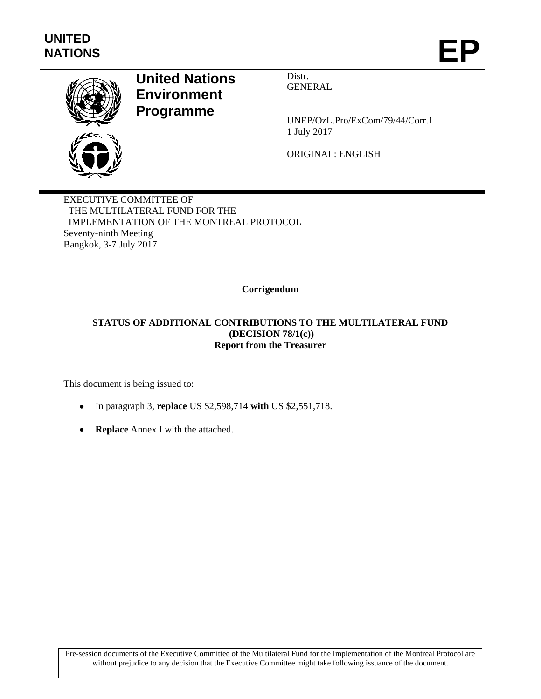

## **United Nations Environment Programme**

Distr. GENERAL

UNEP/OzL.Pro/ExCom/79/44/Corr.1 1 July 2017

ORIGINAL: ENGLISH

EXECUTIVE COMMITTEE OF THE MULTILATERAL FUND FOR THE IMPLEMENTATION OF THE MONTREAL PROTOCOL Seventy-ninth Meeting Bangkok, 3-7 July 2017

**Corrigendum** 

## **STATUS OF ADDITIONAL CONTRIBUTIONS TO THE MULTILATERAL FUND (DECISION 78/1(c)) Report from the Treasurer**

This document is being issued to:

- In paragraph 3, **replace** US \$2,598,714 **with** US \$2,551,718.
- **Replace** Annex I with the attached.

Pre-session documents of the Executive Committee of the Multilateral Fund for the Implementation of the Montreal Protocol are without prejudice to any decision that the Executive Committee might take following issuance of the document.